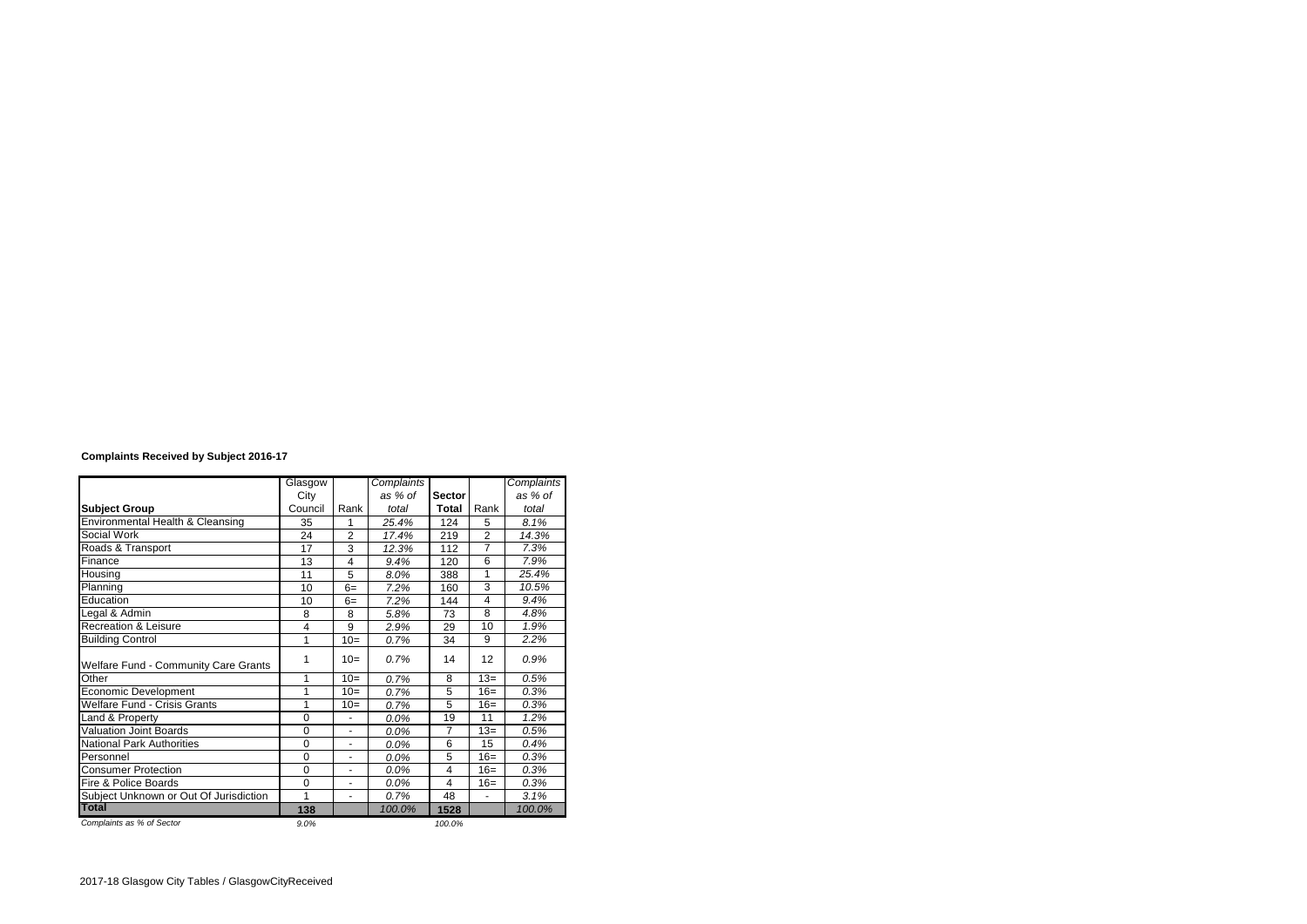## **Complaints Received by Subject 2016-17**

|                                        | Glasgow        |                          | Complaints |                |                         | Complaints |
|----------------------------------------|----------------|--------------------------|------------|----------------|-------------------------|------------|
|                                        | City           |                          | as % of    | <b>Sector</b>  |                         | as % of    |
| <b>Subject Group</b>                   | Council        | Rank                     | total      | <b>Total</b>   | Rank                    | total      |
| Environmental Health & Cleansing       | 35             | 1                        | 25.4%      | 124            | 5                       | 8.1%       |
| Social Work                            | 24             | $\overline{2}$           | 17.4%      | 219            | $\overline{2}$          | 14.3%      |
| Roads & Transport                      | 17             | 3                        | 12.3%      | 112            | $\overline{7}$          | 7.3%       |
| Finance                                | 13             | 4                        | 9.4%       | 120            | 6                       | 7.9%       |
| Housing                                | 11             | 5                        | 8.0%       | 388            | 1                       | 25.4%      |
| Planning                               | 10             | $6=$                     | 7.2%       | 160            | 3                       | 10.5%      |
| Education                              | 10             | $6=$                     | 7.2%       | 144            | $\overline{\mathbf{4}}$ | 9.4%       |
| Legal & Admin                          | 8              | 8                        | 5.8%       | 73             | 8                       | 4.8%       |
| Recreation & Leisure                   | $\overline{4}$ | 9                        | 2.9%       | 29             | 10                      | 1.9%       |
| <b>Building Control</b>                | 1              | $10=$                    | 0.7%       | 34             | 9                       | 2.2%       |
| Welfare Fund - Community Care Grants   | 1              | $10=$                    | 0.7%       | 14             | 12                      | 0.9%       |
| Other                                  | 1              | $10=$                    | 0.7%       | 8              | $13 =$                  | 0.5%       |
| Economic Development                   | 1              | $10=$                    | 0.7%       | 5              | $16=$                   | 0.3%       |
| <b>Welfare Fund - Crisis Grants</b>    | 1              | $10=$                    | 0.7%       | 5              | $16=$                   | 0.3%       |
| Land & Property                        | $\Omega$       | ٠                        | 0.0%       | 19             | 11                      | 1.2%       |
| <b>Valuation Joint Boards</b>          | $\Omega$       | $\overline{\phantom{0}}$ | 0.0%       | $\overline{7}$ | $13=$                   | 0.5%       |
| <b>National Park Authorities</b>       | $\Omega$       | ٠                        | 0.0%       | 6              | 15                      | 0.4%       |
| Personnel                              | $\Omega$       | $\overline{\phantom{a}}$ | 0.0%       | 5              | $16=$                   | 0.3%       |
| <b>Consumer Protection</b>             | $\Omega$       | ۰                        | 0.0%       | 4              | $16=$                   | 0.3%       |
| Fire & Police Boards                   | $\Omega$       | ٠                        | 0.0%       | 4              | $16=$                   | 0.3%       |
| Subject Unknown or Out Of Jurisdiction | 1              | $\overline{\phantom{a}}$ | 0.7%       | 48             | $\blacksquare$          | 3.1%       |
| <b>Total</b>                           | 138            |                          | 100.0%     | 1528           |                         | $100.0\%$  |
| Complaints as % of Sector              | 9.0%           |                          |            | 100.0%         |                         |            |